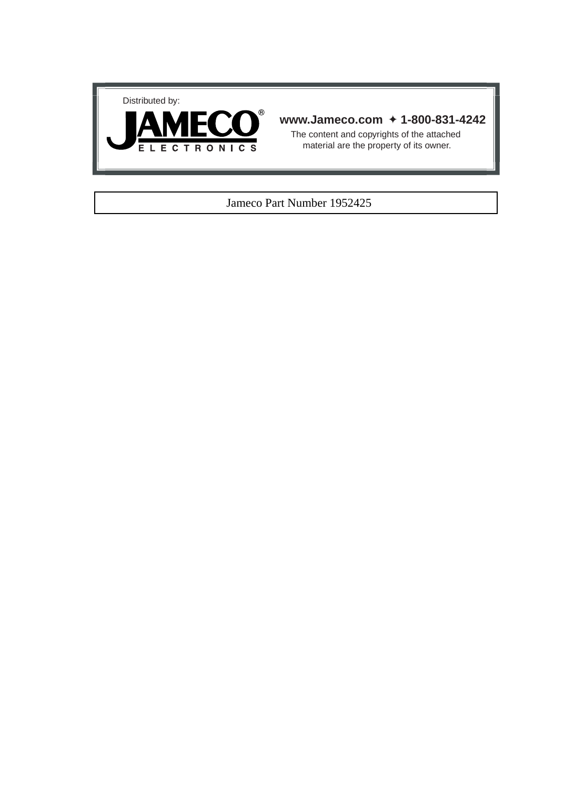



## **www.Jameco.com** ✦ **1-800-831-4242**

The content and copyrights of the attached material are the property of its owner.

## Jameco Part Number 1952425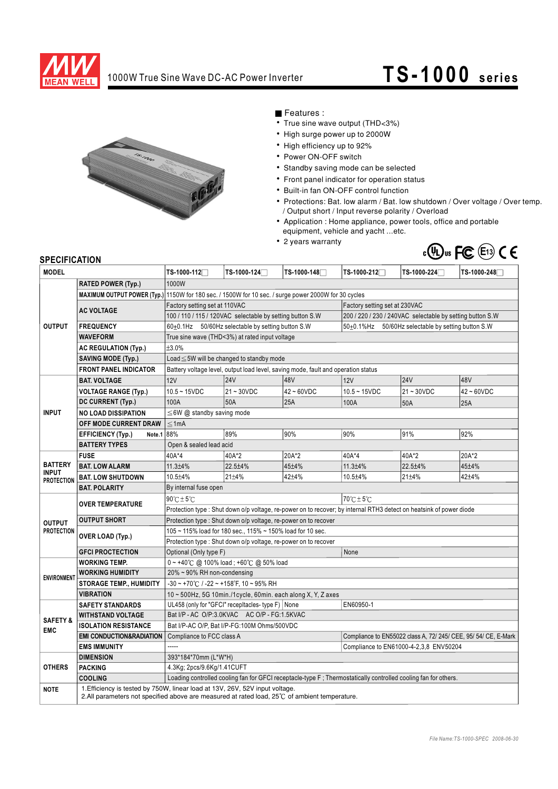

# 1000W True Sine Wave DC-AC Power Inverter **TS-1000** series



Features :

- True sine wave output (THD<3%)
- High surge power up to 2000W
- High efficiency up to 92%
- Power ON-OFF switch
- Standby saving mode can be selected
- Front panel indicator for operation status
- Built-in fan ON-OFF control function
- Protections: Bat. low alarm / Bat. low shutdown / Over voltage / Over temp. / Output short / Input reverse polarity / Overload
- Application : Home appliance, power tools, office and portable equipment, vehicle and yacht ...etc.
- 2 years warranty



### **SPECIFICATION**

| JE LUII IUMI IUN<br><b>MODEL</b>                    |                                     | TS-1000-112□                                                                                                                                                                           | TS-1000-124□ | TS-1000-148      | TS-1000-212 <del></del> □                                       | TS-1000-224 <del></del> | TS-1000-248      |  |
|-----------------------------------------------------|-------------------------------------|----------------------------------------------------------------------------------------------------------------------------------------------------------------------------------------|--------------|------------------|-----------------------------------------------------------------|-------------------------|------------------|--|
|                                                     |                                     |                                                                                                                                                                                        |              |                  |                                                                 |                         |                  |  |
| <b>OUTPUT</b>                                       | <b>RATED POWER (Typ.)</b>           | 1000W                                                                                                                                                                                  |              |                  |                                                                 |                         |                  |  |
|                                                     |                                     | MAXIMUM OUTPUT POWER (Typ.) 1150W for 180 sec. / 1500W for 10 sec. / surge power 2000W for 30 cycles                                                                                   |              |                  |                                                                 |                         |                  |  |
|                                                     | <b>AC VOLTAGE</b>                   | Factory setting set at 110VAC<br>Factory setting set at 230VAC                                                                                                                         |              |                  |                                                                 |                         |                  |  |
|                                                     |                                     | 200 / 220 / 230 / 240VAC selectable by setting button S.W<br>100 / 110 / 115 / 120VAC selectable by setting button S.W                                                                 |              |                  |                                                                 |                         |                  |  |
|                                                     | <b>FREQUENCY</b>                    | 60±0.1Hz 50/60Hz selectable by setting button S.W                                                                                                                                      |              |                  | 50±0.1%Hz 50/60Hz selectable by setting button S.W              |                         |                  |  |
|                                                     | <b>WAVEFORM</b>                     | True sine wave (THD<3%) at rated input voltage                                                                                                                                         |              |                  |                                                                 |                         |                  |  |
|                                                     | <b>AC REGULATION (Typ.)</b>         | ±3.0%                                                                                                                                                                                  |              |                  |                                                                 |                         |                  |  |
|                                                     | <b>SAVING MODE (Typ.)</b>           | Load $\leq$ 5W will be changed to standby mode                                                                                                                                         |              |                  |                                                                 |                         |                  |  |
|                                                     | <b>FRONT PANEL INDICATOR</b>        | Battery voltage level, output load level, saving mode, fault and operation status                                                                                                      |              |                  |                                                                 |                         |                  |  |
| <b>INPUT</b>                                        | <b>BAT. VOLTAGE</b>                 | 12V                                                                                                                                                                                    | <b>24V</b>   | 48V              | 12V                                                             | <b>24V</b>              | 48V              |  |
|                                                     | <b>VOLTAGE RANGE (Typ.)</b>         | $10.5 - 15$ VDC                                                                                                                                                                        | $21 - 30VDC$ | $42 \sim 60$ VDC | $10.5 - 15$ VDC                                                 | $21 \sim 30$ VDC        | $42 \sim 60$ VDC |  |
|                                                     | DC CURRENT (Typ.)                   | 100A                                                                                                                                                                                   | 50A          | 25A              | 100A                                                            | 50A                     | 25A              |  |
|                                                     | <b>NO LOAD DISSIPATION</b>          | $\leq$ 6W @ standby saving mode                                                                                                                                                        |              |                  |                                                                 |                         |                  |  |
|                                                     | OFF MODE CURRENT DRAW               | $\leq 1$ mA                                                                                                                                                                            |              |                  |                                                                 |                         |                  |  |
|                                                     | <b>EFFICIENCY (Typ.)</b><br>Note.1  | 88%                                                                                                                                                                                    | 89%          | 90%              | 90%                                                             | 91%                     | 92%              |  |
|                                                     | <b>BATTERY TYPES</b>                | Open & sealed lead acid                                                                                                                                                                |              |                  |                                                                 |                         |                  |  |
| <b>BATTERY</b><br><b>INPUT</b><br><b>PROTECTION</b> | <b>FUSE</b>                         | 40A*4                                                                                                                                                                                  | 40A*2        | 20A*2            | 40A*4                                                           | 40A*2                   | 20A*2            |  |
|                                                     | <b>BAT. LOW ALARM</b>               | $11.3 + 4\%$                                                                                                                                                                           | $22.5 + 4%$  | $45 + 4%$        | $11.3 + 4\%$                                                    | $22.5 + 4\%$            | $45 + 4%$        |  |
|                                                     | <b>BAT. LOW SHUTDOWN</b>            | 10.5±4%                                                                                                                                                                                | 21±4%        | 42±4%            | $10.5 + 4%$                                                     | $21 \pm 4\%$            | 42±4%            |  |
|                                                     | <b>BAT. POLARITY</b>                | By internal fuse open                                                                                                                                                                  |              |                  |                                                                 |                         |                  |  |
| <b>OUTPUT</b><br><b>PROTECTION</b>                  | <b>OVER TEMPERATURE</b>             | $70^{\circ}$ C $\pm$ 5 $^{\circ}$ C<br>$90^\circ \text{C} \pm 5^\circ \text{C}$                                                                                                        |              |                  |                                                                 |                         |                  |  |
|                                                     |                                     | Protection type : Shut down o/p voltage, re-power on to recover; by internal RTH3 detect on heatsink of power diode                                                                    |              |                  |                                                                 |                         |                  |  |
|                                                     | <b>OUTPUT SHORT</b>                 | Protection type: Shut down o/p voltage, re-power on to recover                                                                                                                         |              |                  |                                                                 |                         |                  |  |
|                                                     | OVER LOAD (Typ.)                    | 105 ~ 115% load for 180 sec., 115% ~ 150% load for 10 sec.                                                                                                                             |              |                  |                                                                 |                         |                  |  |
|                                                     |                                     | Protection type: Shut down o/p voltage, re-power on to recover                                                                                                                         |              |                  |                                                                 |                         |                  |  |
|                                                     | <b>GFCI PROCTECTION</b>             | Optional (Only type F)                                                                                                                                                                 |              |                  | None                                                            |                         |                  |  |
| <b>ENVIRONMEN</b>                                   | <b>WORKING TEMP.</b>                | 0~+40℃ @ 100% load; +60℃ @ 50% load                                                                                                                                                    |              |                  |                                                                 |                         |                  |  |
|                                                     | <b>WORKING HUMIDITY</b>             | 20% ~ 90% RH non-condensing                                                                                                                                                            |              |                  |                                                                 |                         |                  |  |
|                                                     | <b>STORAGE TEMP., HUMIDITY</b>      | $-30 \sim +70^{\circ}$ C / $-22 \sim +158^{\circ}$ F, 10 ~ 95% RH                                                                                                                      |              |                  |                                                                 |                         |                  |  |
|                                                     | <b>VIBRATION</b>                    | 10 ~ 500Hz, 5G 10min./1cycle, 60min. each along X, Y, Z axes                                                                                                                           |              |                  |                                                                 |                         |                  |  |
| <b>SAFETY &amp;</b><br><b>EMC</b>                   | <b>SAFETY STANDARDS</b>             | UL458 (only for "GFCI" recepitacles-type F) None<br>EN60950-1                                                                                                                          |              |                  |                                                                 |                         |                  |  |
|                                                     | <b>WITHSTAND VOLTAGE</b>            | Bat I/P - AC O/P:3.0KVAC AC O/P - FG:1.5KVAC                                                                                                                                           |              |                  |                                                                 |                         |                  |  |
|                                                     | <b>ISOLATION RESISTANCE</b>         | Bat I/P-AC O/P, Bat I/P-FG:100M Ohms/500VDC                                                                                                                                            |              |                  |                                                                 |                         |                  |  |
|                                                     | <b>EMI CONDUCTION&amp;RADIATION</b> | Compliance to FCC class A                                                                                                                                                              |              |                  | Compliance to EN55022 class A, 72/ 245/ CEE, 95/ 54/ CE, E-Mark |                         |                  |  |
|                                                     | <b>EMS IMMUNITY</b>                 |                                                                                                                                                                                        |              |                  | Compliance to EN61000-4-2,3,8 ENV50204                          |                         |                  |  |
| <b>OTHERS</b>                                       | <b>DIMENSION</b>                    | 393*184*70mm (L*W*H)                                                                                                                                                                   |              |                  |                                                                 |                         |                  |  |
|                                                     | <b>PACKING</b>                      | 4.3Kg; 2pcs/9.6Kg/1.41CUFT                                                                                                                                                             |              |                  |                                                                 |                         |                  |  |
|                                                     | <b>COOLING</b>                      | Loading controlled cooling fan for GFCI receptacle-type F; Thermostatically controlled cooling fan for others.                                                                         |              |                  |                                                                 |                         |                  |  |
| <b>NOTE</b>                                         |                                     | 1. Efficiency is tested by 750W, linear load at 13V, 26V, 52V input voltage.<br>2. All parameters not specified above are measured at rated load, $25^{\circ}$ of ambient temperature. |              |                  |                                                                 |                         |                  |  |